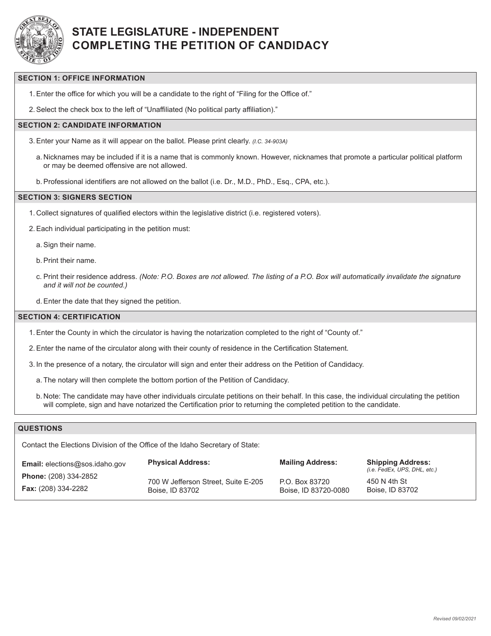

# **STATE LEGISLATURE - INDEPENDENT COMPLETING THE PETITION OF CANDIDACY**

### **SECTION 1: OFFICE INFORMATION**

1.Enter the office for which you will be a candidate to the right of "Filing for the Office of."

2.Select the check box to the left of "Unaffiliated (No political party affiliation)."

### **SECTION 2: CANDIDATE INFORMATION**

- 3.Enter your Name as it will appear on the ballot. Please print clearly. *(I.C. 34-903A)*
	- a. Nicknames may be included if it is a name that is commonly known. However, nicknames that promote a particular political platform or may be deemed offensive are not allowed.
	- b.Professional identifiers are not allowed on the ballot (i.e. Dr., M.D., PhD., Esq., CPA, etc.).

#### **SECTION 3: SIGNERS SECTION**

- 1. Collect signatures of qualified electors within the legislative district (i.e. registered voters).
- 2.Each individual participating in the petition must:
	- a.Sign their name.
	- b.Print their name.
	- c. Print their residence address. *(Note: P.O. Boxes are not allowed. The listing of a P.O. Box will automatically invalidate the signature and it will not be counted.)*
	- d.Enter the date that they signed the petition.

#### **SECTION 4: CERTIFICATION**

- 1.Enter the County in which the circulator is having the notarization completed to the right of "County of."
- 2.Enter the name of the circulator along with their county of residence in the Certification Statement.
- 3. In the presence of a notary, the circulator will sign and enter their address on the Petition of Candidacy.
	- a. The notary will then complete the bottom portion of the Petition of Candidacy.
	- b. Note: The candidate may have other individuals circulate petitions on their behalf. In this case, the individual circulating the petition will complete, sign and have notarized the Certification prior to returning the completed petition to the candidate.

### **QUESTIONS**

Contact the Elections Division of the Office of the Idaho Secretary of State:

| <b>Email:</b> elections@sos.idaho.gov | <b>Physical Address:</b>            | <b>Mailing Address:</b> | <b>Shipping Address:</b><br>(i.e. FedEx, UPS, DHL, etc.) |
|---------------------------------------|-------------------------------------|-------------------------|----------------------------------------------------------|
| <b>Phone:</b> (208) 334-2852          | 700 W Jefferson Street, Suite E-205 | P.O. Box 83720          | 450 N 4th St                                             |
| <b>Fax:</b> (208) 334-2282            | Boise, ID 83702                     | Boise, ID 83720-0080    | Boise, ID 83702                                          |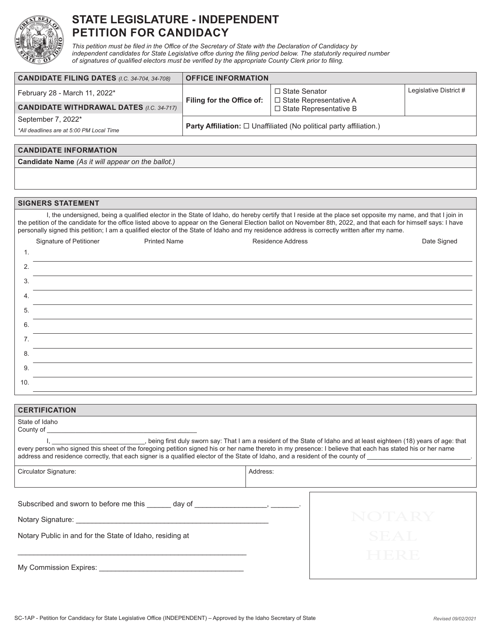

# **STATE LEGISLATURE - INDEPENDENT PETITION FOR CANDIDACY**

*This petition must be filed in the Office of the Secretary of State with the Declaration of Candidacy by independent candidates for State Legislative offce during the filing period below. The statutorily required number of signatures of qualified electors must be verified by the appropriate County Clerk prior to filing.*

| <b>CANDIDATE FILING DATES (I.C. 34-704, 34-708)</b> | <b>OFFICE INFORMATION</b>                                                          |                                                  |                        |
|-----------------------------------------------------|------------------------------------------------------------------------------------|--------------------------------------------------|------------------------|
| February 28 - March 11, 2022*                       | Filing for the Office of:                                                          | □ State Senator<br>$\Box$ State Representative A | Legislative District # |
| <b>CANDIDATE WITHDRAWAL DATES (I.C. 34-717)</b>     |                                                                                    | $\Box$ State Representative B                    |                        |
| September 7, 2022*                                  | <b>Party Affiliation:</b> $\square$ Unaffiliated (No political party affiliation.) |                                                  |                        |
| *All deadlines are at 5:00 PM Local Time            |                                                                                    |                                                  |                        |

#### **CANDIDATE INFORMATION**

**Candidate Name** *(As it will appear on the ballot.)*

#### **SIGNERS STATEMENT**

I, the undersigned, being a qualified elector in the State of Idaho, do hereby certify that I reside at the place set opposite my name, and that I join in the petition of the candidate for the office listed above to appear on the General Election ballot on November 8th, 2022, and that each for himself says: I have personally signed this petition; I am a qualified elector of the State of Idaho and my residence address is correctly written after my name.

|     | Signature of Petitioner | <b>Printed Name</b> | <b>Residence Address</b> | Date Signed |
|-----|-------------------------|---------------------|--------------------------|-------------|
| 1.  |                         |                     |                          |             |
| 2.  |                         |                     |                          |             |
| 3.  |                         |                     |                          |             |
| 4.  |                         |                     |                          |             |
| 5.  |                         |                     |                          |             |
| 6.  |                         |                     |                          |             |
| 7.  |                         |                     |                          |             |
| 8.  |                         |                     |                          |             |
| 9.  |                         |                     |                          |             |
| 10. |                         |                     |                          |             |

| <b>CERTIFICATION</b>                                                                                                                                                                                                                                                                                                                                              |             |  |
|-------------------------------------------------------------------------------------------------------------------------------------------------------------------------------------------------------------------------------------------------------------------------------------------------------------------------------------------------------------------|-------------|--|
| State of Idaho                                                                                                                                                                                                                                                                                                                                                    |             |  |
| l, ______________________, being first duly sworn say: That I am a resident of the State of Idaho and at least eighteen (18) years of age: that every person who signed this sheet of the foregoing petition signed his or her<br>address and residence correctly, that each signer is a qualified elector of the State of Idaho, and a resident of the county of |             |  |
| Circulator Signature:                                                                                                                                                                                                                                                                                                                                             | Address:    |  |
| Subscribed and sworn to before me this day of the state of the state of the state of the state of the state of the state of the state of the state of the state of the state of the state of the state of the state of the sta                                                                                                                                    |             |  |
|                                                                                                                                                                                                                                                                                                                                                                   | NOTARY      |  |
| Notary Public in and for the State of Idaho, residing at                                                                                                                                                                                                                                                                                                          | <b>SEAT</b> |  |
|                                                                                                                                                                                                                                                                                                                                                                   |             |  |
|                                                                                                                                                                                                                                                                                                                                                                   |             |  |